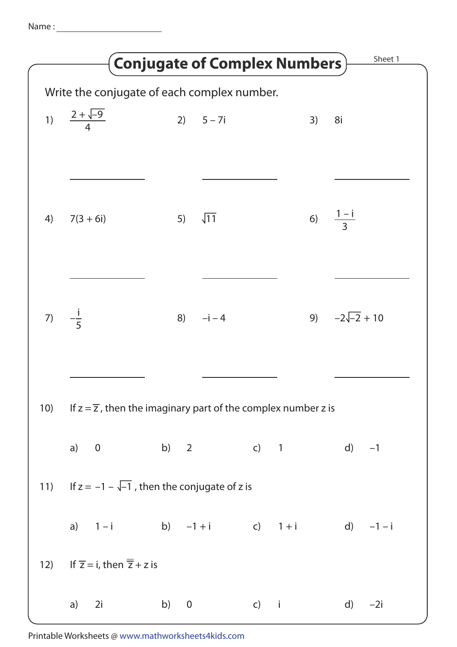